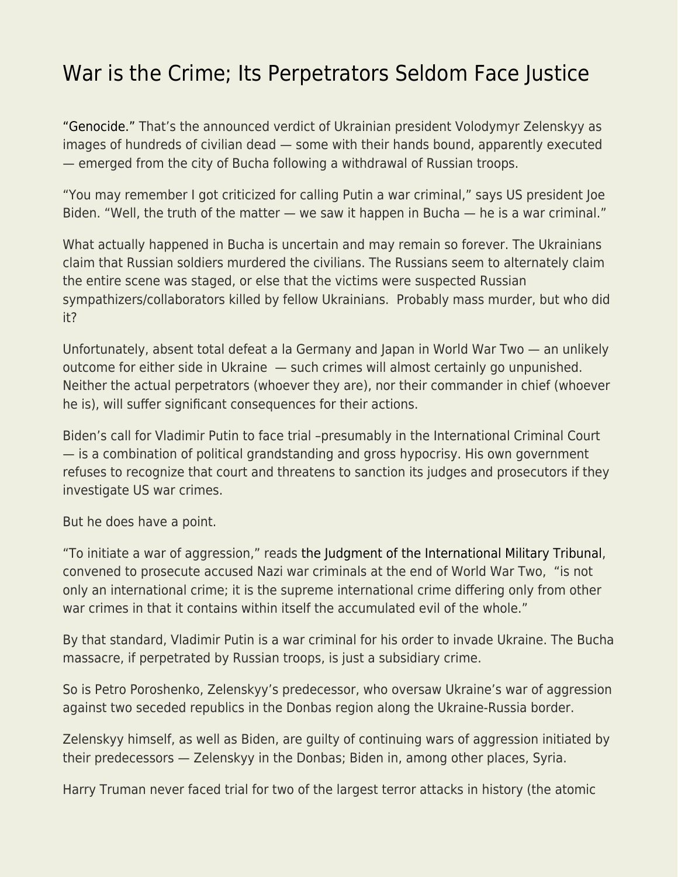## [War is the Crime; Its Perpetrators Seldom Face Justice](https://everything-voluntary.com/war-is-the-crime-its-perpetrators-seldom-face-justice)

["Genocide."](https://www.cbsnews.com/news/genocide-russia-ukraine-war-zelenskyy-face-the-nation/) That's the announced verdict of Ukrainian president Volodymyr Zelenskyy as images of hundreds of civilian dead — some with their hands bound, apparently executed — emerged from the city of Bucha following a withdrawal of Russian troops.

"You may remember I got criticized for calling Putin a war criminal," says US president Joe Biden. "Well, the truth of the matter — we saw it happen in Bucha — he is a war criminal."

What actually happened in Bucha is uncertain and may remain so forever. The Ukrainians claim that Russian soldiers murdered the civilians. The Russians seem to alternately claim the entire scene was staged, or else that the victims were suspected Russian sympathizers/collaborators killed by fellow Ukrainians. Probably mass murder, but who did it?

Unfortunately, absent total defeat a la Germany and Japan in World War Two — an unlikely outcome for either side in Ukraine — such crimes will almost certainly go unpunished. Neither the actual perpetrators (whoever they are), nor their commander in chief (whoever he is), will suffer significant consequences for their actions.

Biden's call for Vladimir Putin to face trial –presumably in the International Criminal Court — is a combination of political grandstanding and gross hypocrisy. His own government refuses to recognize that court and threatens to sanction its judges and prosecutors if they investigate US war crimes.

But he does have a point.

"To initiate a war of aggression," reads [the Judgment of the International Military Tribunal,](https://avalon.law.yale.edu/imt/judnazi.asp#common) convened to prosecute accused Nazi war criminals at the end of World War Two, "is not only an international crime; it is the supreme international crime differing only from other war crimes in that it contains within itself the accumulated evil of the whole."

By that standard, Vladimir Putin is a war criminal for his order to invade Ukraine. The Bucha massacre, if perpetrated by Russian troops, is just a subsidiary crime.

So is Petro Poroshenko, Zelenskyy's predecessor, who oversaw Ukraine's war of aggression against two seceded republics in the Donbas region along the Ukraine-Russia border.

Zelenskyy himself, as well as Biden, are guilty of continuing wars of aggression initiated by their predecessors — Zelenskyy in the Donbas; Biden in, among other places, Syria.

Harry Truman never faced trial for two of the largest terror attacks in history (the atomic